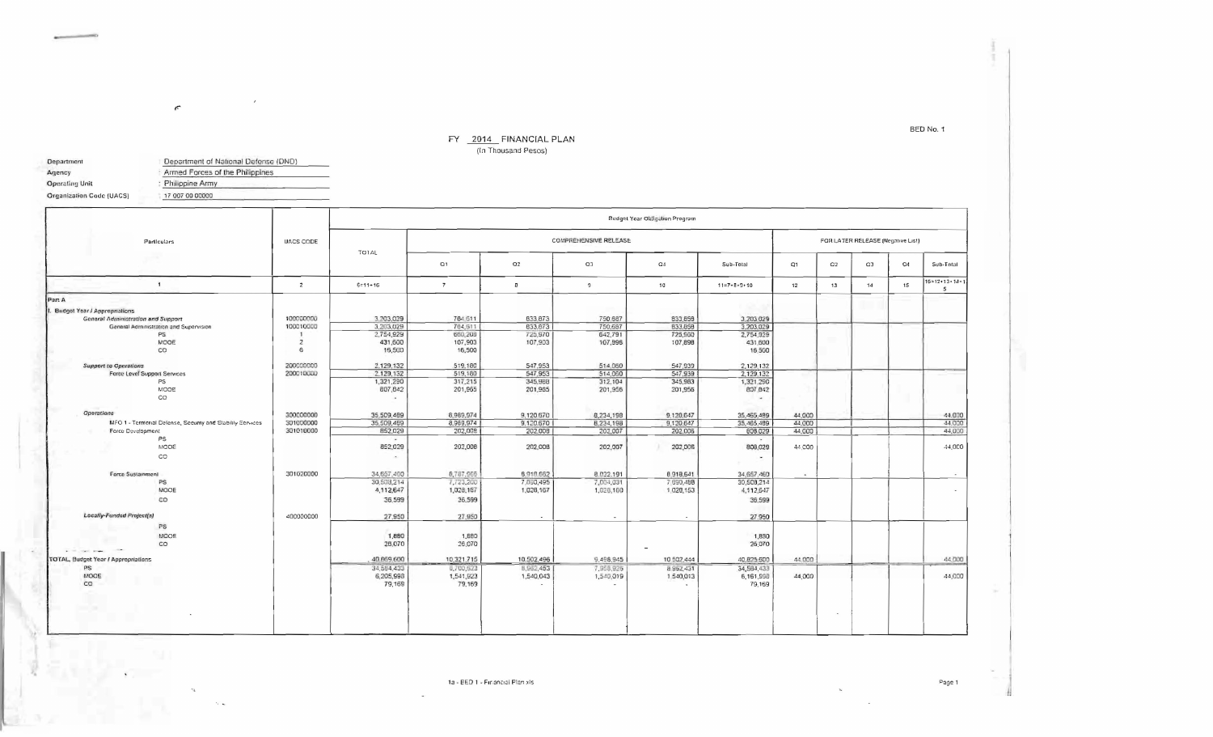## $FY = \frac{2014}{\ln \text{Thousand Pesos}}$

| Department                      | Department of National Defense (DND)                 |  |  |  |  |  |  |
|---------------------------------|------------------------------------------------------|--|--|--|--|--|--|
| Agency                          | Armed Forces of the Philippines<br>: Philippine Army |  |  |  |  |  |  |
| <b>Operating Unit</b>           |                                                      |  |  |  |  |  |  |
| <b>Organization Code (UACS)</b> | 17 007 00 00000                                      |  |  |  |  |  |  |

 $\sqrt{2}$ 

|                                                              |                  | <b>Budget Year Obligation Program</b> |                     |                                   |                |            |                       |                          |    |    |       |                              |
|--------------------------------------------------------------|------------------|---------------------------------------|---------------------|-----------------------------------|----------------|------------|-----------------------|--------------------------|----|----|-------|------------------------------|
| Particulars                                                  | <b>UACS CODE</b> | TOTAL                                 |                     | FOR LATER RELEASE (Negative List) |                |            |                       |                          |    |    |       |                              |
|                                                              |                  |                                       | Q1                  | Q2                                | Q3             | $\Omega$   | Sub-Total             | Q1                       | O2 | CD | $Q_4$ | Sub-Total                    |
| $\mathbf{1}$                                                 | $\overline{z}$   | $6 = 11 + 16$                         | $\overline{7}$      | $\mathbf{B}$                      | $\mathfrak{g}$ | 10         | $11 = 7 + B + 9 + 10$ | 12                       | 13 | 14 | 15    | $16 = 12 + 13 + 14 + 1$<br>5 |
| Part A                                                       |                  |                                       |                     |                                   |                |            |                       |                          |    |    |       |                              |
| <b>Budget Year / Appropriations</b>                          |                  |                                       |                     |                                   |                |            |                       |                          |    |    |       |                              |
| <b>General Administration and Support</b>                    | 100000000        | 3,203,029                             | 784.611             | 633,873                           | 750.687        | 833, 858   | 3.203 029             |                          |    |    |       |                              |
| General Administration and Supervision                       | 100010000        | 3,203,029                             | 784.611             | 833,873                           | 750,687        | 833,858    | 3,203,029             |                          |    |    |       |                              |
| PS                                                           |                  | 2,754,929                             | 660,208             | 725,970                           | 642,791        | 725,960    | 2,754,929             |                          |    |    |       |                              |
| MOOE                                                         | $\overline{z}$   | 431,600                               | 107,903             | 107,903                           | 107,996        | 107,898    | 431,600               |                          |    |    |       |                              |
| co                                                           | 6                | 16,500                                | 16,500              |                                   |                |            | 16,500                |                          |    |    |       |                              |
|                                                              |                  |                                       |                     |                                   |                |            |                       |                          |    |    |       |                              |
| <b>Support to Operations</b>                                 | 200000000        | 2,129,132                             | 519,180             | 547,953                           | 514,060        | 547,939    | 2,129,132             |                          |    |    |       |                              |
| Force Level Support Services                                 | 200010000        | 2.129,132                             | 519,180             | 547,953                           | 514,060        | 547,939    | 2,129,132             |                          |    |    |       |                              |
| PS                                                           |                  | 1,321,290                             | 317,215             | 345,988                           | 312,104        | 345,983    | 1,321,290             |                          |    |    |       |                              |
| MODE<br>co                                                   |                  | 807,842<br>$\sim$                     | 201,965             | 201,965                           | 201,956        | 201,956    | 807,842<br>$\sim$     |                          |    |    |       |                              |
| Operations                                                   | 300000000        | 35,509,489                            | 8.989.974           | 9.120 570                         | 8,234,198      | 9,120,647  | 35,465,489            | 44,000                   |    |    |       | 44.000                       |
| MFO 1 - Territorial Defense, Security and Stability Services | 301000000        | 35,509,469                            | 8,969,974           | 9,120,670                         | 8,234,198      | 9.120.647  | 35, 465, 489          | 44,000                   |    |    |       | 44,000                       |
| Force Development                                            | 301010000        | 852,029                               | 202,008             | 202,008                           | 202,007        | 202,006    | 608,029               | 44,000                   |    |    |       | 44,000                       |
| PS                                                           |                  | $\sim$                                |                     |                                   |                |            |                       |                          |    |    |       |                              |
| MODE                                                         |                  | 852,029                               | 202,008             | 202,008                           | 202,007        | 202,006    | 808,029               | 44,000                   |    |    |       | $-44.000$                    |
| co                                                           |                  | $\sim$                                |                     |                                   |                |            | $\sim$                |                          |    |    |       |                              |
| Force Sustainment                                            | 301020000        | 34,657,460                            | 8,787,966           | 6,918,662                         | 8.032.191      | 8918,541   | 34,657,460            | $\overline{\phantom{a}}$ |    |    |       | $\sim$                       |
| PS                                                           |                  | 30,508,214                            | 7,723,200           | 7.890,495                         | 7,004,031      | 7 690,488  | 30,508,214            |                          |    |    |       |                              |
| MOOE                                                         |                  | 4,112,647                             | 1,028,167           | 1,028,157                         | 1,026,160      | 1 028,153  | 4,112,647             |                          |    |    |       | $\sim$                       |
| co                                                           |                  | 36,599                                | 36,599              |                                   |                |            | 36,599                |                          |    |    |       |                              |
| <b>Locally-Funded Project(s)</b>                             | 400000000        | 27,950                                | 27,950              | tar.                              | $\sim$         | $\sim$     | 27,950                |                          |    |    |       |                              |
| P5                                                           |                  |                                       |                     |                                   |                |            |                       |                          |    |    |       |                              |
| MODE                                                         |                  | 1,880                                 | 1,880               |                                   |                |            | 1,850                 |                          |    |    |       |                              |
| CO<br>$-102$                                                 |                  | 26,070                                | 26,070              |                                   |                | $\sim$     | 26,070                |                          |    |    |       |                              |
| a control street                                             |                  | 40,669,600                            |                     |                                   |                | 10 502,444 |                       | 44.000                   |    |    |       | 44,000                       |
| TOTAL, Budget Year / Appropriations                          |                  |                                       | 10,321,715          | 10.502,496                        | 9,496,945      |            | 40,825,600            |                          |    |    |       |                              |
| PS<br>MOOE                                                   |                  | 34,584,433                            | 8,700,623           | B, 962, 453                       | 7,958,926      | 8.962,431  | 34,584,433            |                          |    |    |       | 44,000                       |
| co                                                           |                  | 6,205,998<br>79,169                   | 1,541,923<br>79,169 | 1,540,043                         | 1,540,019      | 1,540,013  | 6,161,998<br>79,169   | 44,000                   |    |    |       |                              |
|                                                              |                  |                                       |                     |                                   |                |            |                       |                          |    |    |       |                              |
|                                                              |                  |                                       |                     |                                   |                |            |                       |                          |    |    |       |                              |

## BED No. 1

1a - BED 1 - Financial Planixis

nia.